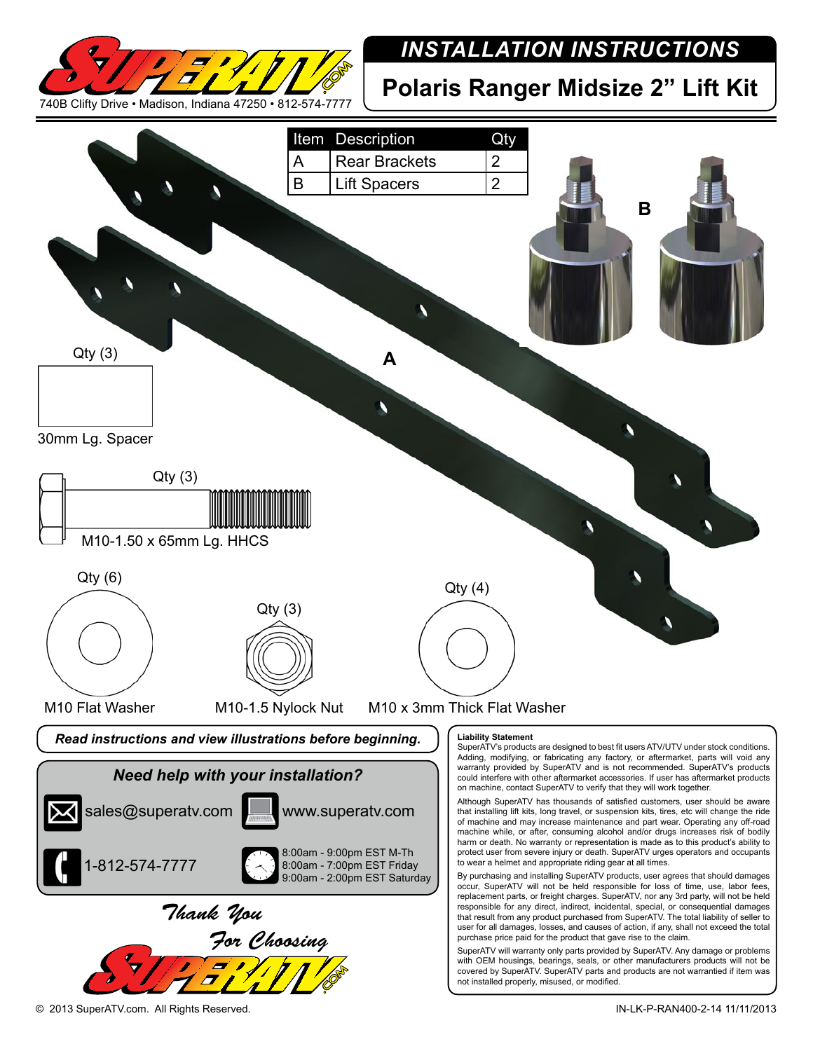

## *INSTALLATION INSTRUCTIONS*

**Polaris Ranger Midsize 2" Lift Kit**



© 2013 SuperATV.com. All Rights Reserved. IN-LK-P-RAN400-2-14 11/11/2013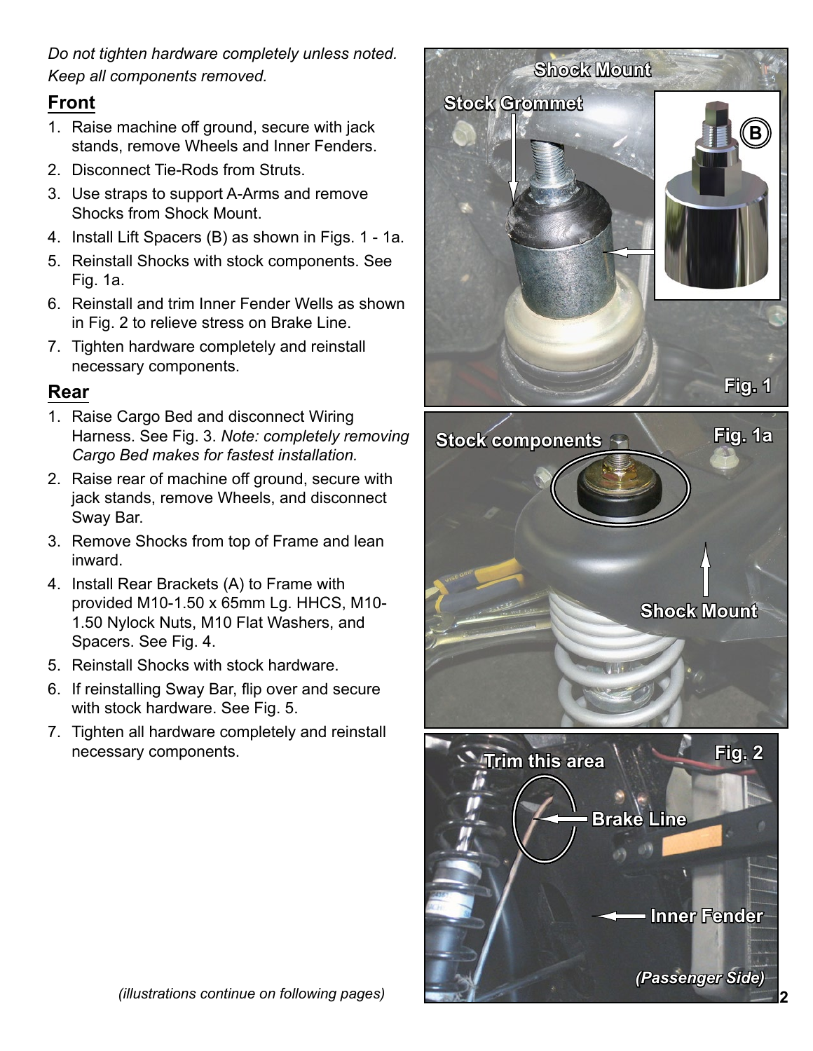*Do not tighten hardware completely unless noted. Keep all components removed.*

## **Front**

- 1. Raise machine off ground, secure with jack stands, remove Wheels and Inner Fenders.
- 2. Disconnect Tie-Rods from Struts.
- 3. Use straps to support A-Arms and remove Shocks from Shock Mount.
- 4. Install Lift Spacers (B) as shown in Figs. 1 1a.
- 5. Reinstall Shocks with stock components. See Fig. 1a.
- 6. Reinstall and trim Inner Fender Wells as shown in Fig. 2 to relieve stress on Brake Line.
- 7. Tighten hardware completely and reinstall necessary components.

## **Rear**

- 1. Raise Cargo Bed and disconnect Wiring Harness. See Fig. 3. *Note: completely removing Cargo Bed makes for fastest installation.*
- 2. Raise rear of machine off ground, secure with jack stands, remove Wheels, and disconnect Sway Bar.
- 3. Remove Shocks from top of Frame and lean inward.
- 4. Install Rear Brackets (A) to Frame with provided M10-1.50 x 65mm Lg. HHCS, M10- 1.50 Nylock Nuts, M10 Flat Washers, and Spacers. See Fig. 4.
- 5. Reinstall Shocks with stock hardware.
- 6. If reinstalling Sway Bar, flip over and secure with stock hardware. See Fig. 5.
- 7. Tighten all hardware completely and reinstall necessary components.



**2** *(illustrations continue on following pages)*